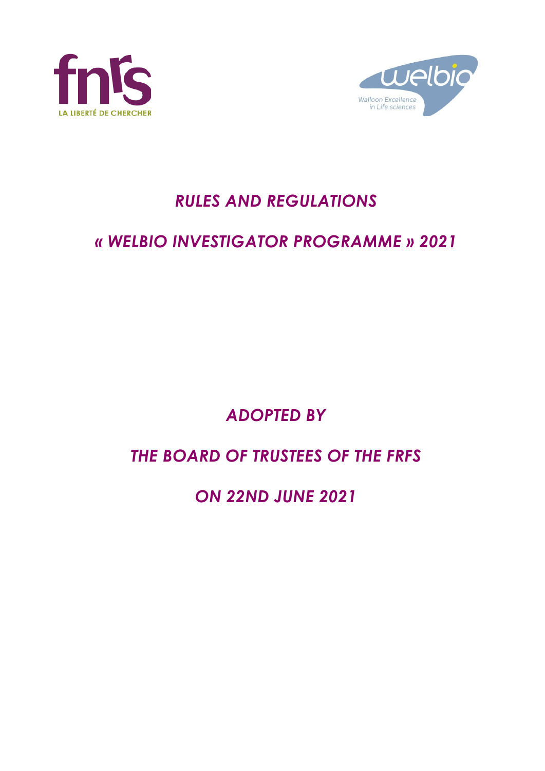



# *RULES AND REGULATIONS*

# *« WELBIO INVESTIGATOR PROGRAMME » 2021*

# *ADOPTED BY*

# *THE BOARD OF TRUSTEES OF THE FRFS*

# *ON 22ND JUNE 2021*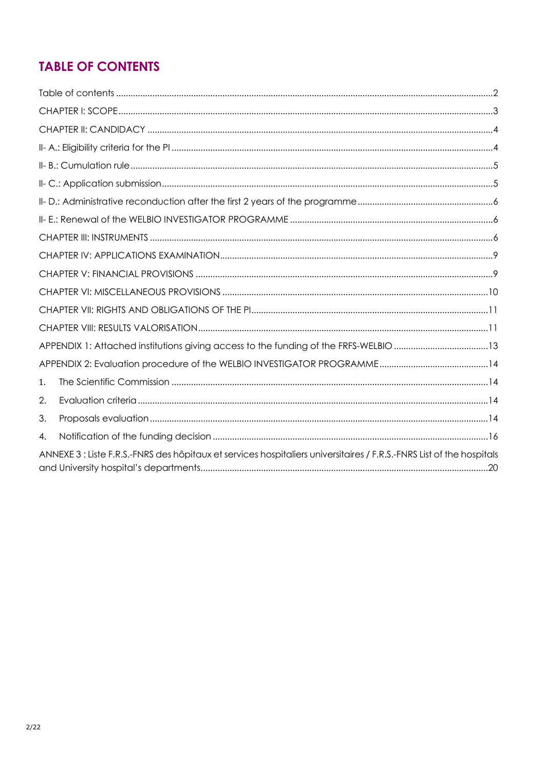# **TABLE OF CONTENTS**

| APPENDIX 1: Attached institutions giving access to the funding of the FRFS-WELBIO 13                                  |  |
|-----------------------------------------------------------------------------------------------------------------------|--|
|                                                                                                                       |  |
| 1.                                                                                                                    |  |
| 2.                                                                                                                    |  |
| 3.                                                                                                                    |  |
| 4.                                                                                                                    |  |
| ANNEXE 3 : Liste F.R.S.-FNRS des hôpitaux et services hospitaliers universitaires / F.R.S.-FNRS List of the hospitals |  |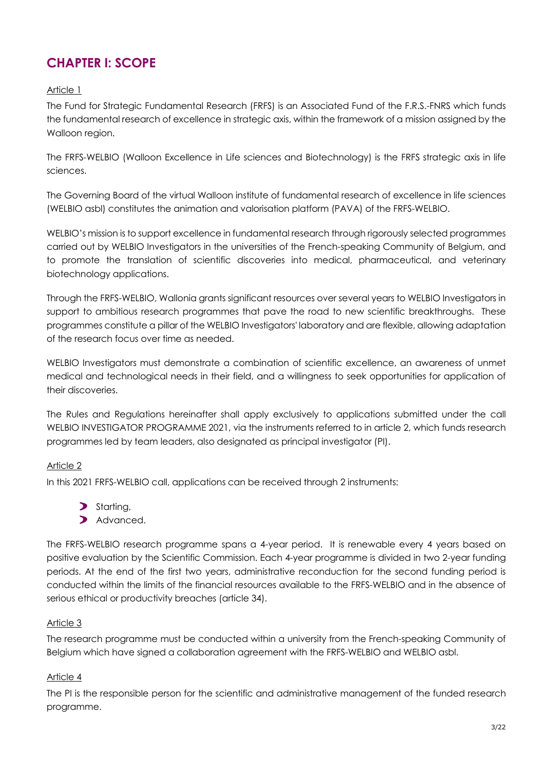# **CHAPTER I: SCOPE**

#### Article 1

The Fund for Strategic Fundamental Research (FRFS) is an Associated Fund of the F.R.S.-FNRS which funds the fundamental research of excellence in strategic axis, within the framework of a mission assigned by the Walloon region.

The FRFS-WELBIO (Walloon Excellence in Life sciences and Biotechnology) is the FRFS strategic axis in life sciences.

The Governing Board of the virtual Walloon institute of fundamental research of excellence in life sciences (WELBIO asbl) constitutes the animation and valorisation platform (PAVA) of the FRFS-WELBIO.

WELBIO's mission is to support excellence in fundamental research through rigorously selected programmes carried out by WELBIO Investigators in the universities of the French-speaking Community of Belgium, and to promote the translation of scientific discoveries into medical, pharmaceutical, and veterinary biotechnology applications.

Through the FRFS-WELBIO, Wallonia grants significant resources over several years to WELBIO Investigators in support to ambitious research programmes that pave the road to new scientific breakthroughs. These programmes constitute a pillar of the WELBIO Investigators' laboratory and are flexible, allowing adaptation of the research focus over time as needed.

WELBIO Investigators must demonstrate a combination of scientific excellence, an awareness of unmet medical and technological needs in their field, and a willingness to seek opportunities for application of their discoveries.

The Rules and Regulations hereinafter shall apply exclusively to applications submitted under the call WELBIO INVESTIGATOR PROGRAMME 2021, via the instruments referred to in article 2, which funds research programmes led by team leaders, also designated as principal investigator (PI).

#### Article 2

In this 2021 FRFS-WELBIO call, applications can be received through 2 instruments:

- > Starting,
- Advanced.

The FRFS-WELBIO research programme spans a 4-year period. It is renewable every 4 years based on positive evaluation by the Scientific Commission. Each 4-year programme is divided in two 2-year funding periods. At the end of the first two years, administrative reconduction for the second funding period is conducted within the limits of the financial resources available to the FRFS-WELBIO and in the absence of serious ethical or productivity breaches (article 34).

#### Article 3

The research programme must be conducted within a university from the French-speaking Community of Belgium which have signed a collaboration agreement with the FRFS-WELBIO and WELBIO asbl.

#### Article 4

The PI is the responsible person for the scientific and administrative management of the funded research programme.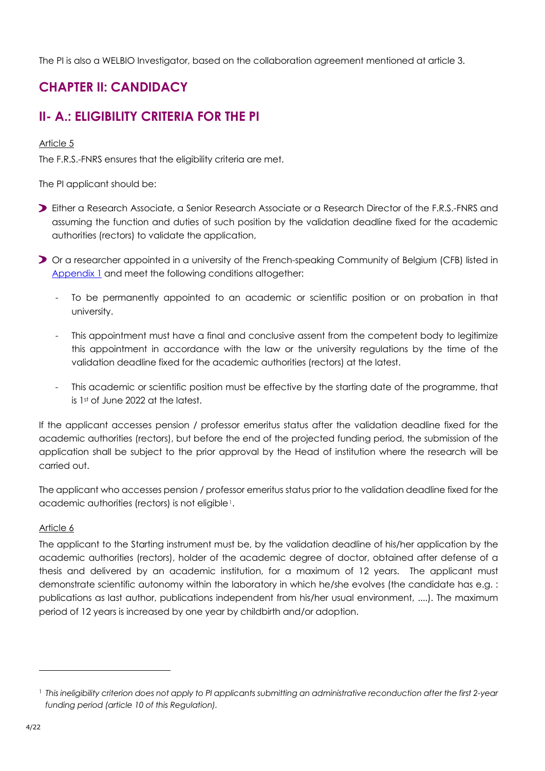The PI is also a WELBIO Investigator, based on the collaboration agreement mentioned at article 3.

# **CHAPTER II: CANDIDACY**

# **II- A.: ELIGIBILITY CRITERIA FOR THE PI**

#### Article 5

The F.R.S.-FNRS ensures that the eligibility criteria are met.

The PI applicant should be:

- Either a Research Associate, a Senior Research Associate or a Research Director of the F.R.S.-FNRS and assuming the function and duties of such position by the validation deadline fixed for the academic authorities (rectors) to validate the application,
- Or a researcher appointed in a university of the French-speaking Community of Belgium (CFB) listed in Appendix 1 and meet the following conditions altogether:
	- To be permanently appointed to an academic or scientific position or on probation in that university.
	- This appointment must have a final and conclusive assent from the competent body to legitimize this appointment in accordance with the law or the university regulations by the time of the validation deadline fixed for the academic authorities (rectors) at the latest.
	- This academic or scientific position must be effective by the starting date of the programme, that is 1st of June 2022 at the latest.

If the applicant accesses pension / professor emeritus status after the validation deadline fixed for the academic authorities (rectors), but before the end of the projected funding period, the submission of the application shall be subject to the prior approval by the Head of institution where the research will be carried out.

The applicant who accesses pension / professor emeritus status prior to the validation deadline fixed for the academic authorities (rectors) is not eligible<sup>1</sup>.

#### Article 6

The applicant to the Starting instrument must be, by the validation deadline of his/her application by the academic authorities (rectors), holder of the academic degree of doctor, obtained after defense of a thesis and delivered by an academic institution, for a maximum of 12 years. The applicant must demonstrate scientific autonomy within the laboratory in which he/she evolves (the candidate has e.g. : publications as last author, publications independent from his/her usual environment, ....). The maximum period of 12 years is increased by one year by childbirth and/or adoption.

<span id="page-3-0"></span><sup>&</sup>lt;sup>1</sup> This ineligibility criterion does not apply to PI applicants submitting an administrative reconduction after the first 2-year *funding period (article 10 of this Regulation).*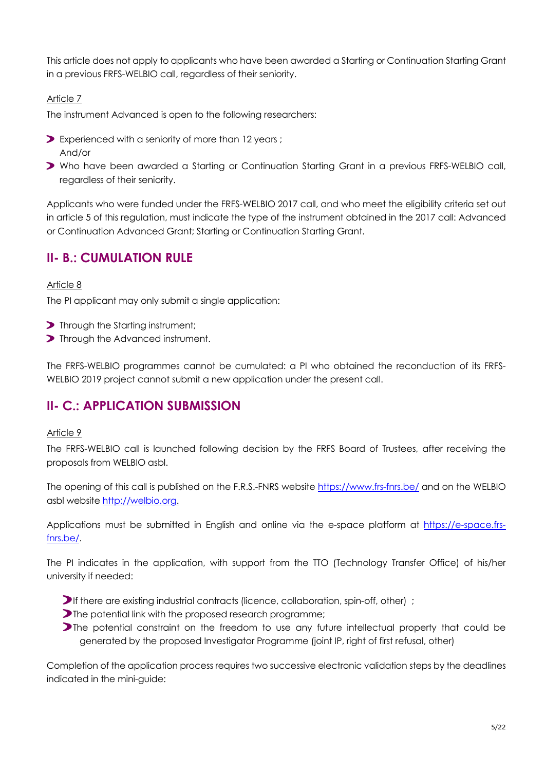This article does not apply to applicants who have been awarded a Starting or Continuation Starting Grant in a previous FRFS-WELBIO call, regardless of their seniority.

#### Article 7

The instrument Advanced is open to the following researchers:

- Experienced with a seniority of more than 12 years ; And/or
- Who have been awarded a Starting or Continuation Starting Grant in a previous FRFS-WELBIO call, regardless of their seniority.

Applicants who were funded under the FRFS-WELBIO 2017 call, and who meet the eligibility criteria set out in article 5 of this regulation, must indicate the type of the instrument obtained in the 2017 call: Advanced or Continuation Advanced Grant; Starting or Continuation Starting Grant.

### **II- B.: CUMULATION RULE**

#### Article 8

The PI applicant may only submit a single application:

- **>** Through the Starting instrument;
- **Through the Advanced instrument.**

The FRFS-WELBIO programmes cannot be cumulated: a PI who obtained the reconduction of its FRFS-WELBIO 2019 project cannot submit a new application under the present call.

## **II- C.: APPLICATION SUBMISSION**

#### Article 9

The FRFS-WELBIO call is launched following decision by the FRFS Board of Trustees, after receiving the proposals from WELBIO asbl.

The opening of this call is published on the F.R.S.-FNRS website <https://www.frs-fnrs.be/> and on the WELBIO asbl website [http://welbio.org.](http://welbio.org/)

Applications must be submitted in English and online via the e-space platform at [https://e-space.frs](https://e-space.frs-fnrs.be/)[fnrs.be/.](https://e-space.frs-fnrs.be/)

The PI indicates in the application, with support from the TTO (Technology Transfer Office) of his/her university if needed:

- $\triangleright$  If there are existing industrial contracts (licence, collaboration, spin-off, other) ;
- The potential link with the proposed research programme;
- **The potential constraint on the freedom to use any future intellectual property that could be** generated by the proposed Investigator Programme (joint IP, right of first refusal, other)

Completion of the application process requires two successive electronic validation steps by the deadlines indicated in the mini-guide: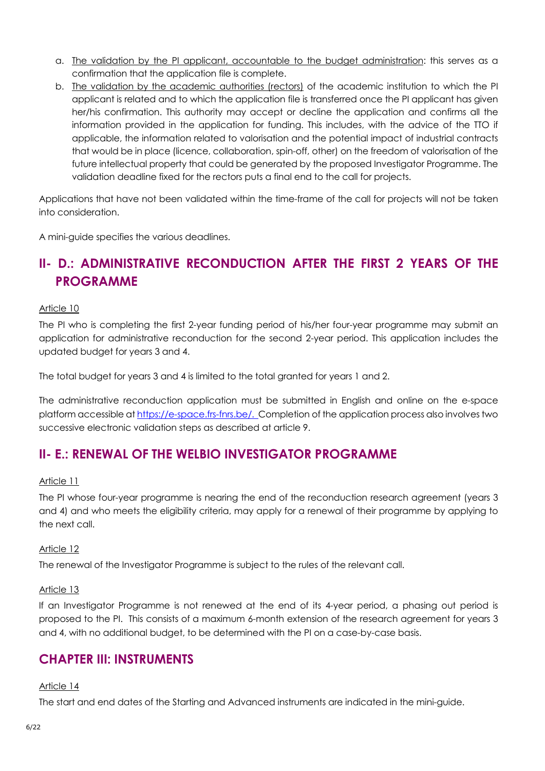- a. The validation by the PI applicant, accountable to the budget administration: this serves as a confirmation that the application file is complete.
- b. The validation by the academic authorities (rectors) of the academic institution to which the PI applicant is related and to which the application file is transferred once the PI applicant has given her/his confirmation. This authority may accept or decline the application and confirms all the information provided in the application for funding. This includes, with the advice of the TTO if applicable, the information related to valorisation and the potential impact of industrial contracts that would be in place (licence, collaboration, spin-off, other) on the freedom of valorisation of the future intellectual property that could be generated by the proposed Investigator Programme. The validation deadline fixed for the rectors puts a final end to the call for projects.

Applications that have not been validated within the time-frame of the call for projects will not be taken into consideration.

A mini-guide specifies the various deadlines.

## **II- D.: ADMINISTRATIVE RECONDUCTION AFTER THE FIRST 2 YEARS OF THE PROGRAMME**

#### Article 10

The PI who is completing the first 2-year funding period of his/her four-year programme may submit an application for administrative reconduction for the second 2-year period. This application includes the updated budget for years 3 and 4.

The total budget for years 3 and 4 is limited to the total granted for years 1 and 2.

The administrative reconduction application must be submitted in English and online on the e-space platform accessible at [https://e-space.frs-fnrs.be/.](https://e-space.frs-fnrs.be/) Completion of the application process also involves two successive electronic validation steps as described at article 9.

### **II- E.: RENEWAL OF THE WELBIO INVESTIGATOR PROGRAMME**

#### Article 11

The PI whose four-year programme is nearing the end of the reconduction research agreement (years 3 and 4) and who meets the eligibility criteria, may apply for a renewal of their programme by applying to the next call.

#### Article 12

The renewal of the Investigator Programme is subject to the rules of the relevant call.

#### Article 13

If an Investigator Programme is not renewed at the end of its 4-year period, a phasing out period is proposed to the PI. This consists of a maximum 6-month extension of the research agreement for years 3 and 4, with no additional budget, to be determined with the PI on a case-by-case basis.

#### **CHAPTER III: INSTRUMENTS**

#### Article 14

The start and end dates of the Starting and Advanced instruments are indicated in the mini-guide.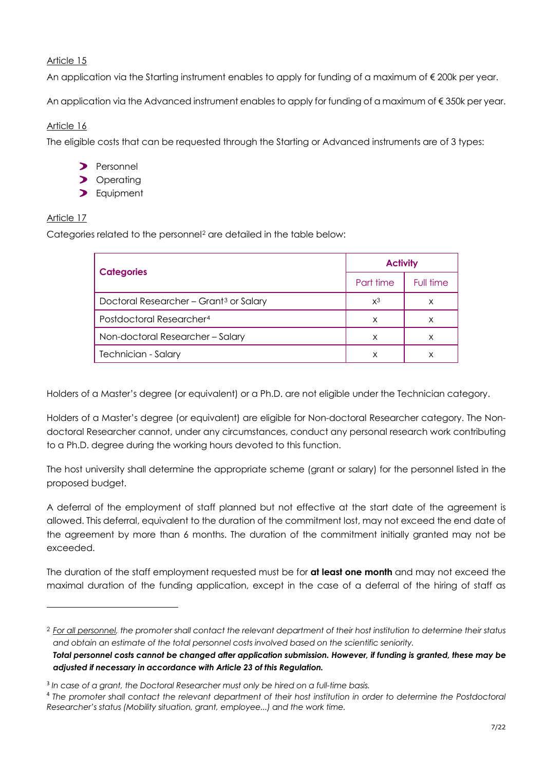An application via the Starting instrument enables to apply for funding of a maximum of  $\epsilon$  200k per year.

An application via the Advanced instrument enables to apply for funding of a maximum of € 350k per year.

#### Article 16

The eligible costs that can be requested through the Starting or Advanced instruments are of 3 types:

- **Personnel**
- > Operating
- > Equipment

#### Article 17

Categories related to the personnel<sup>[2](#page-6-0)</sup> are detailed in the table below:

|                                                    | <b>Activity</b> |           |
|----------------------------------------------------|-----------------|-----------|
| <b>Categories</b>                                  | Part time       | Full time |
| Doctoral Researcher - Grant <sup>3</sup> or Salary | $x^3$           | x         |
| Postdoctoral Researcher <sup>4</sup>               | X               | х         |
| Non-doctoral Researcher-Salary                     | X               |           |
| Technician - Salary                                | x               |           |

Holders of a Master's degree (or equivalent) or a Ph.D. are not eligible under the Technician category.

Holders of a Master's degree (or equivalent) are eligible for Non-doctoral Researcher category. The Nondoctoral Researcher cannot, under any circumstances, conduct any personal research work contributing to a Ph.D. degree during the working hours devoted to this function.

The host university shall determine the appropriate scheme (grant or salary) for the personnel listed in the proposed budget.

A deferral of the employment of staff planned but not effective at the start date of the agreement is allowed. This deferral, equivalent to the duration of the commitment lost, may not exceed the end date of the agreement by more than 6 months. The duration of the commitment initially granted may not be exceeded.

The duration of the staff employment requested must be for **at least one month** and may not exceed the maximal duration of the funding application, except in the case of a deferral of the hiring of staff as

<span id="page-6-0"></span><sup>2</sup> *For all personnel, the promoter shall contact the relevant department of their host institution to determine their status and obtain an estimate of the total personnel costs involved based on the scientific seniority.*

*Total personnel costs cannot be changed after application submission. However, if funding is granted, these may be adjusted if necessary in accordance with Article 23 of this Regulation.*

<span id="page-6-1"></span><sup>3</sup> *In case of a grant, the Doctoral Researcher must only be hired on a full-time basis.*

<span id="page-6-2"></span><sup>4</sup> *The promoter shall contact the relevant department of their host institution in order to determine the Postdoctoral Researcher's status (Mobility situation, grant, employee...) and the work time.*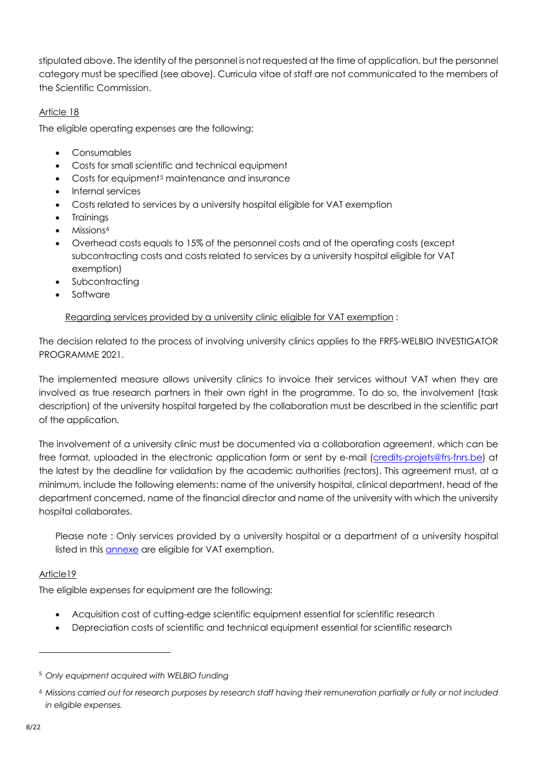stipulated above. The identity of the personnel is not requested at the time of application, but the personnel category must be specified (see above). Curricula vitae of staff are not communicated to the members of the Scientific Commission.

#### Article 18

The eligible operating expenses are the following:

- Consumables
- Costs for small scientific and technical equipment
- Costs for equipment<sup>[5](#page-7-0)</sup> maintenance and insurance
- Internal services
- Costs related to services by a university hospital eligible for VAT exemption
- **Trainings**
- Missions<sup>[6](#page-7-1)</sup>
- Overhead costs equals to 15% of the personnel costs and of the operating costs (except subcontracting costs and costs related to services by a university hospital eligible for VAT exemption)
- **Subcontracting**
- **Software**

#### Regarding services provided by a university clinic eligible for VAT exemption :

The decision related to the process of involving university clinics applies to the FRFS-WELBIO INVESTIGATOR PROGRAMME 2021.

The implemented measure allows university clinics to invoice their services without VAT when they are involved as true research partners in their own right in the programme. To do so, the involvement (task description) of the university hospital targeted by the collaboration must be described in the scientific part of the application.

The involvement of a university clinic must be documented via a collaboration agreement, which can be free format, uploaded in the electronic application form or sent by e-mail [\(credits-projets@frs-fnrs.be\)](mailto:credits-projets@frs-fnrs.be) at the latest by the deadline for validation by the academic authorities (rectors). This agreement must, at a minimum, include the following elements: name of the university hospital, clinical department, head of the department concerned, name of the financial director and name of the university with which the university hospital collaborates.

Please note : Only services provided by a university hospital or a department of a university hospital listed in this [annexe](https://e-space.frs-fnrs.be/documents_publics/ressource/ANNEXE_CHU.pdf) are eligible for VAT exemption.

#### Article19

The eligible expenses for equipment are the following:

- Acquisition cost of cutting-edge scientific equipment essential for scientific research
- Depreciation costs of scientific and technical equipment essential for scientific research

<span id="page-7-0"></span><sup>5</sup> *Only equipment acquired with WELBIO funding*

<span id="page-7-1"></span><sup>6</sup> *Missions carried out for research purposes by research staff having their remuneration partially or fully or not included in eligible expenses.*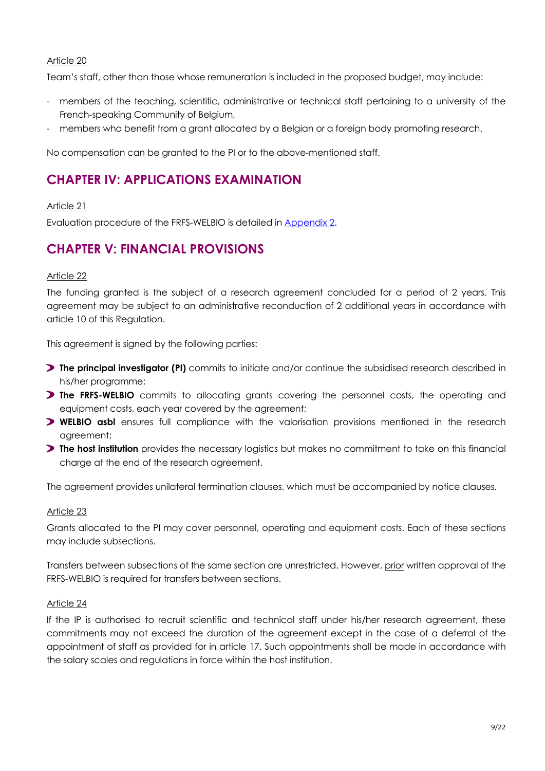Team's staff, other than those whose remuneration is included in the proposed budget, may include:

- members of the teaching, scientific, administrative or technical staff pertaining to a university of the French-speaking Community of Belgium,
- members who benefit from a grant allocated by a Belgian or a foreign body promoting research.

No compensation can be granted to the PI or to the above-mentioned staff.

### **CHAPTER IV: APPLICATIONS EXAMINATION**

#### Article 21

Evaluation procedure of the FRFS-WELBIO is detailed in Appendix 2.

## **CHAPTER V: FINANCIAL PROVISIONS**

#### Article 22

The funding granted is the subject of a research agreement concluded for a period of 2 years. This agreement may be subject to an administrative reconduction of 2 additional years in accordance with article 10 of this Regulation.

This agreement is signed by the following parties:

- **The principal investigator (PI)** commits to initiate and/or continue the subsidised research described in his/her programme;
- **The FRFS-WELBIO** commits to allocating grants covering the personnel costs, the operating and equipment costs, each year covered by the agreement;
- **WELBIO asbl** ensures full compliance with the valorisation provisions mentioned in the research agreement;
- **The host institution** provides the necessary logistics but makes no commitment to take on this financial charge at the end of the research agreement.

The agreement provides unilateral termination clauses, which must be accompanied by notice clauses.

#### Article 23

Grants allocated to the PI may cover personnel, operating and equipment costs. Each of these sections may include subsections.

Transfers between subsections of the same section are unrestricted. However, prior written approval of the FRFS-WELBIO is required for transfers between sections.

#### Article 24

If the IP is authorised to recruit scientific and technical staff under his/her research agreement, these commitments may not exceed the duration of the agreement except in the case of a deferral of the appointment of staff as provided for in article 17. Such appointments shall be made in accordance with the salary scales and regulations in force within the host institution.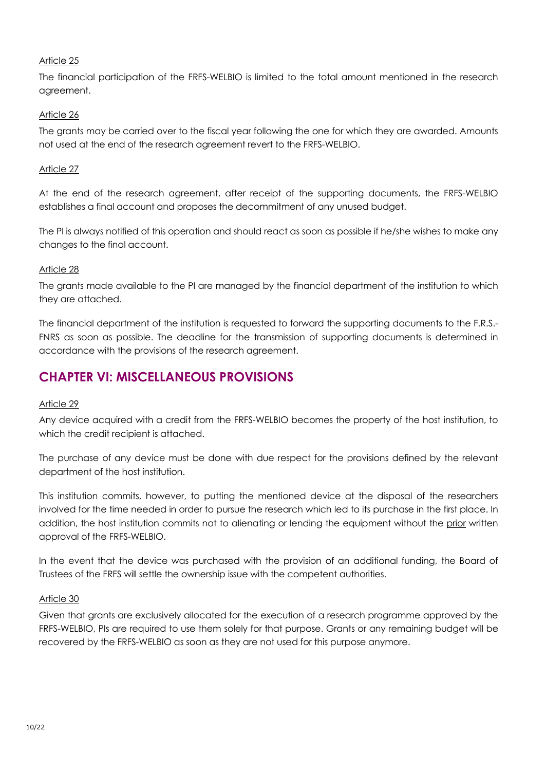The financial participation of the FRFS-WELBIO is limited to the total amount mentioned in the research agreement.

#### Article 26

The grants may be carried over to the fiscal year following the one for which they are awarded. Amounts not used at the end of the research agreement revert to the FRFS-WELBIO.

#### Article 27

At the end of the research agreement, after receipt of the supporting documents, the FRFS-WELBIO establishes a final account and proposes the decommitment of any unused budget.

The PI is always notified of this operation and should react as soon as possible if he/she wishes to make any changes to the final account.

#### Article 28

The grants made available to the PI are managed by the financial department of the institution to which they are attached.

The financial department of the institution is requested to forward the supporting documents to the F.R.S.- FNRS as soon as possible. The deadline for the transmission of supporting documents is determined in accordance with the provisions of the research agreement.

## **CHAPTER VI: MISCELLANEOUS PROVISIONS**

#### Article 29

Any device acquired with a credit from the FRFS-WELBIO becomes the property of the host institution, to which the credit recipient is attached.

The purchase of any device must be done with due respect for the provisions defined by the relevant department of the host institution.

This institution commits, however, to putting the mentioned device at the disposal of the researchers involved for the time needed in order to pursue the research which led to its purchase in the first place. In addition, the host institution commits not to alienating or lending the equipment without the prior written approval of the FRFS-WELBIO.

In the event that the device was purchased with the provision of an additional funding, the Board of Trustees of the FRFS will settle the ownership issue with the competent authorities.

#### Article 30

Given that grants are exclusively allocated for the execution of a research programme approved by the FRFS-WELBIO, PIs are required to use them solely for that purpose. Grants or any remaining budget will be recovered by the FRFS-WELBIO as soon as they are not used for this purpose anymore.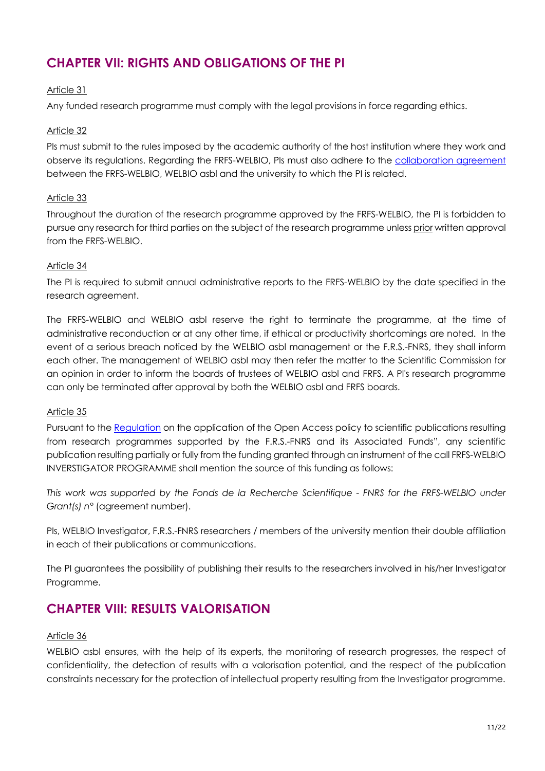# **CHAPTER VII: RIGHTS AND OBLIGATIONS OF THE PI**

#### Article 31

Any funded research programme must comply with the legal provisions in force regarding ethics.

#### Article 32

PIs must submit to the rules imposed by the academic authority of the host institution where they work and observe its regulations. Regarding the FRFS-WELBIO, PIs must also adhere to the [collaboration agreement](https://www.frs-fnrs.be/docs/Reglement-et-documents/FRS-FNRS_Convention_FRFS-WELBIO.pdf) between the FRFS-WELBIO, WELBIO asbl and the university to which the PI is related.

#### Article 33

Throughout the duration of the research programme approved by the FRFS-WELBIO, the PI is forbidden to pursue any research for third parties on the subject of the research programme unless prior written approval from the FRFS-WELBIO.

#### Article 34

The PI is required to submit annual administrative reports to the FRFS-WELBIO by the date specified in the research agreement.

The FRFS-WELBIO and WELBIO asbl reserve the right to terminate the programme, at the time of administrative reconduction or at any other time, if ethical or productivity shortcomings are noted. In the event of a serious breach noticed by the WELBIO asbl management or the F.R.S.-FNRS, they shall inform each other. The management of WELBIO asbl may then refer the matter to the Scientific Commission for an opinion in order to inform the boards of trustees of WELBIO asbl and FRFS. A PI's research programme can only be terminated after approval by both the WELBIO asbl and FRFS boards.

#### Article 35

Pursuant to the [Regulation](https://www.frs-fnrs.be/docs/Reglement_OPEN_ACCESS_EN.pdf) on the application of the Open Access policy to scientific publications resulting from research programmes supported by the F.R.S.-FNRS and its Associated Funds", any scientific publication resulting partially or fully from the funding granted through an instrument of the call FRFS-WELBIO INVERSTIGATOR PROGRAMME shall mention the source of this funding as follows:

*This work was supported by the Fonds de la Recherche Scientifique - FNRS for the FRFS-WELBIO under Grant(s) n°* (agreement number).

PIs, WELBIO Investigator, F.R.S.-FNRS researchers / members of the university mention their double affiliation in each of their publications or communications.

The PI guarantees the possibility of publishing their results to the researchers involved in his/her Investigator Programme.

### **CHAPTER VIII: RESULTS VALORISATION**

#### Article 36

WELBIO asbl ensures, with the help of its experts, the monitoring of research progresses, the respect of confidentiality, the detection of results with a valorisation potential, and the respect of the publication constraints necessary for the protection of intellectual property resulting from the Investigator programme.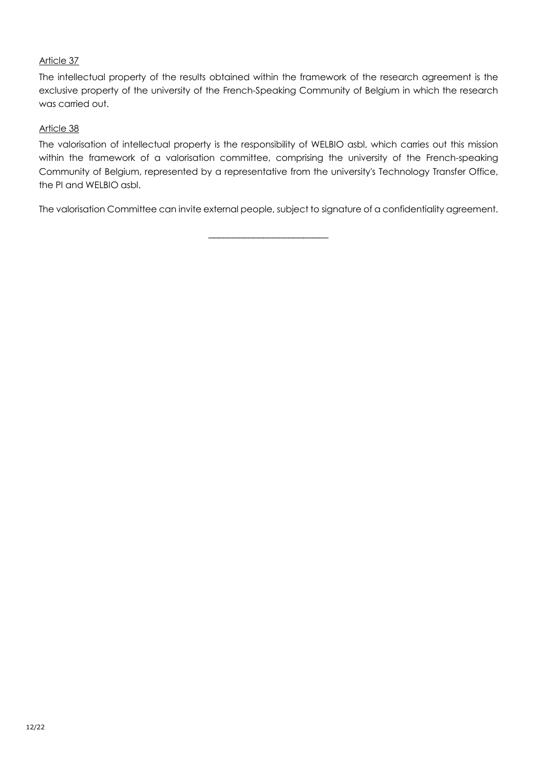The intellectual property of the results obtained within the framework of the research agreement is the exclusive property of the university of the French-Speaking Community of Belgium in which the research was carried out.

#### Article 38

The valorisation of intellectual property is the responsibility of WELBIO asbl, which carries out this mission within the framework of a valorisation committee, comprising the university of the French-speaking Community of Belgium, represented by a representative from the university's Technology Transfer Office, the PI and WELBIO asbl.

The valorisation Committee can invite external people, subject to signature of a confidentiality agreement.

\_\_\_\_\_\_\_\_\_\_\_\_\_\_\_\_\_\_\_\_\_\_\_\_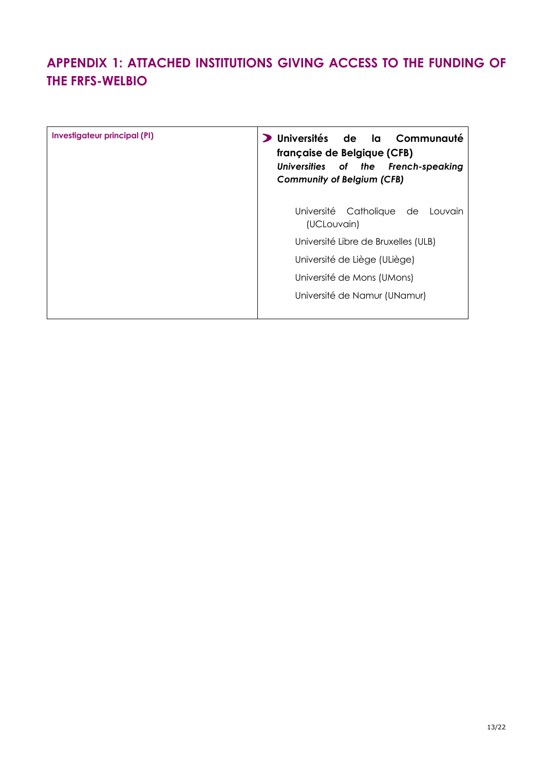# **APPENDIX 1: ATTACHED INSTITUTIONS GIVING ACCESS TO THE FUNDING OF THE FRFS-WELBIO**

| Investigateur principal (PI) | Universités<br>de la Communauté<br>française de Belgique (CFB)<br>Universities of the French-speaking<br><b>Community of Belgium (CFB)</b> |
|------------------------------|--------------------------------------------------------------------------------------------------------------------------------------------|
|                              | Université Catholique de<br>Louvain<br>(UCLouvain)                                                                                         |
|                              | Université Libre de Bruxelles (ULB)                                                                                                        |
|                              | Université de Liège (ULiège)                                                                                                               |
|                              | Université de Mons (UMons)                                                                                                                 |
|                              | Université de Namur (UNamur)                                                                                                               |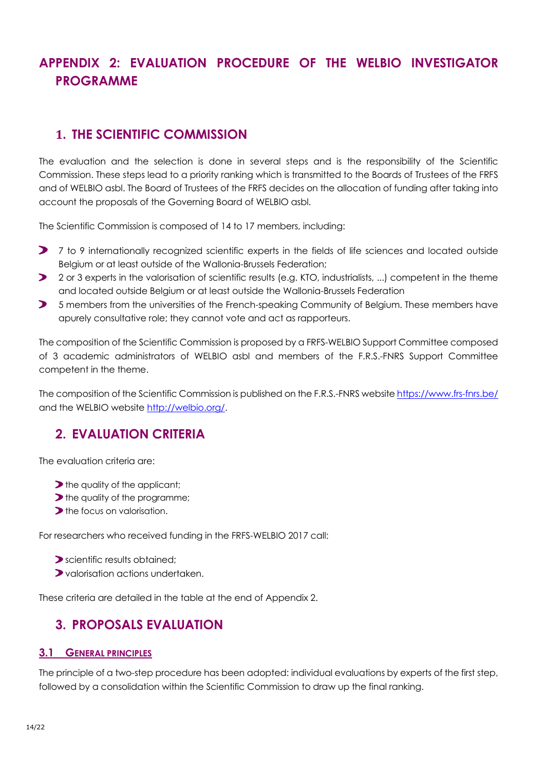# **APPENDIX 2: EVALUATION PROCEDURE OF THE WELBIO INVESTIGATOR PROGRAMME**

### **1. THE SCIENTIFIC COMMISSION**

The evaluation and the selection is done in several steps and is the responsibility of the Scientific Commission. These steps lead to a priority ranking which is transmitted to the Boards of Trustees of the FRFS and of WELBIO asbl. The Board of Trustees of the FRFS decides on the allocation of funding after taking into account the proposals of the Governing Board of WELBIO asbl.

The Scientific Commission is composed of 14 to 17 members, including:

- 7 to 9 internationally recognized scientific experts in the fields of life sciences and located outside Belgium or at least outside of the Wallonia-Brussels Federation;
- 2 or 3 experts in the valorisation of scientific results (e.g. KTO, industrialists, ...) competent in the theme and located outside Belgium or at least outside the Wallonia-Brussels Federation
- **5** members from the universities of the French-speaking Community of Belgium. These members have apurely consultative role; they cannot vote and act as rapporteurs.

The composition of the Scientific Commission is proposed by a FRFS-WELBIO Support Committee composed of 3 academic administrators of WELBIO asbl and members of the F.R.S.-FNRS Support Committee competent in the theme.

The composition of the Scientific Commission is published on the F.R.S.-FNRS website<https://www.frs-fnrs.be/> and the WELBIO website [http://welbio.org/.](http://welbio.org/)

## **2. EVALUATION CRITERIA**

The evaluation criteria are:

- Ithe quality of the applicant;
- If the quality of the programme;
- **the focus on valorisation.**

For researchers who received funding in the FRFS-WELBIO 2017 call:

- scientific results obtained;
- valorisation actions undertaken.

These criteria are detailed in the table at the end of Appendix 2.

### **3. PROPOSALS EVALUATION**

#### **3.1 GENERAL PRINCIPLES**

The principle of a two-step procedure has been adopted: individual evaluations by experts of the first step, followed by a consolidation within the Scientific Commission to draw up the final ranking.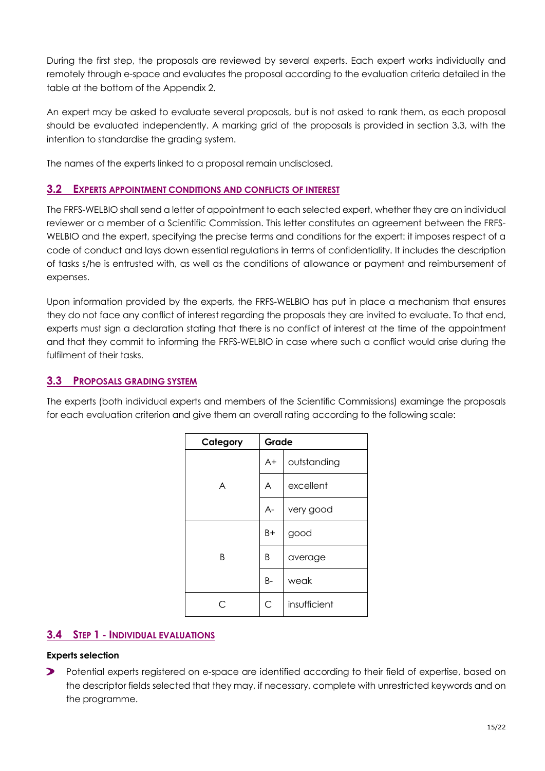During the first step, the proposals are reviewed by several experts. Each expert works individually and remotely through e-space and evaluates the proposal according to the evaluation criteria detailed in the table at the bottom of the Appendix 2.

An expert may be asked to evaluate several proposals, but is not asked to rank them, as each proposal should be evaluated independently. A marking grid of the proposals is provided in section 3.3, with the intention to standardise the grading system.

The names of the experts linked to a proposal remain undisclosed.

#### **3.2 EXPERTS APPOINTMENT CONDITIONS AND CONFLICTS OF INTEREST**

The FRFS-WELBIO shall send a letter of appointment to each selected expert, whether they are an individual reviewer or a member of a Scientific Commission. This letter constitutes an agreement between the FRFS-WELBIO and the expert, specifying the precise terms and conditions for the expert: it imposes respect of a code of conduct and lays down essential regulations in terms of confidentiality. It includes the description of tasks s/he is entrusted with, as well as the conditions of allowance or payment and reimbursement of expenses.

Upon information provided by the experts, the FRFS-WELBIO has put in place a mechanism that ensures they do not face any conflict of interest regarding the proposals they are invited to evaluate. To that end, experts must sign a declaration stating that there is no conflict of interest at the time of the appointment and that they commit to informing the FRFS-WELBIO in case where such a conflict would arise during the fulfilment of their tasks.

#### **3.3 PROPOSALS GRADING SYSTEM**

The experts (both individual experts and members of the Scientific Commissions) examinge the proposals for each evaluation criterion and give them an overall rating according to the following scale:

| Category | Grade |              |
|----------|-------|--------------|
| A        | $A+$  | outstanding  |
|          | A     | excellent    |
|          | $A-$  | very good    |
| B        | B+    | good         |
|          | B     | average      |
|          | B-    | weak         |
|          | C     | insufficient |

#### **3.4 STEP 1 - INDIVIDUAL EVALUATIONS**

#### **Experts selection**

 $\blacktriangleright$ Potential experts registered on e-space are identified according to their field of expertise, based on the descriptor fields selected that they may, if necessary, complete with unrestricted keywords and on the programme.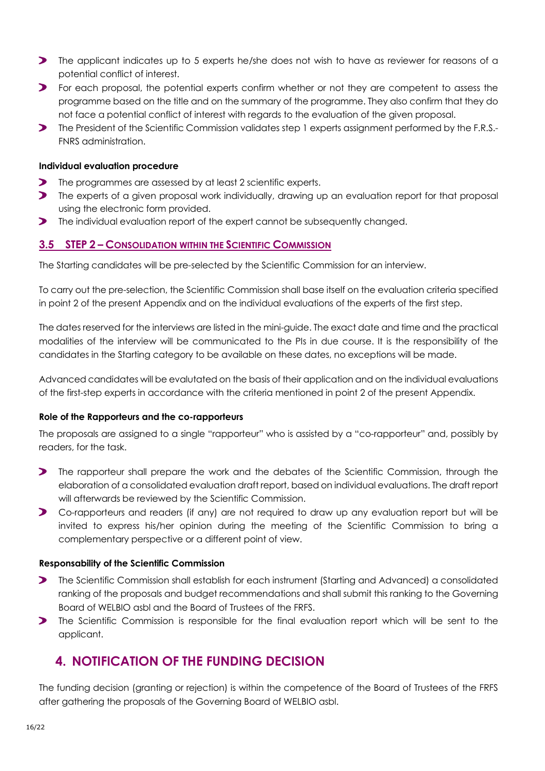- The applicant indicates up to 5 experts he/she does not wish to have as reviewer for reasons of a potential conflict of interest.
- **>** For each proposal, the potential experts confirm whether or not they are competent to assess the programme based on the title and on the summary of the programme. They also confirm that they do not face a potential conflict of interest with regards to the evaluation of the given proposal.
- The President of the Scientific Commission validates step 1 experts assignment performed by the F.R.S.-FNRS administration.

#### **Individual evaluation procedure**

- $\blacktriangleright$ The programmes are assessed by at least 2 scientific experts.
- **The experts of a given proposal work individually, drawing up an evaluation report for that proposal** using the electronic form provided.
- **The individual evaluation report of the expert cannot be subsequently changed.**

#### **3.5 STEP 2 – CONSOLIDATION WITHIN THE SCIENTIFIC COMMISSION**

The Starting candidates will be pre-selected by the Scientific Commission for an interview.

To carry out the pre-selection, the Scientific Commission shall base itself on the evaluation criteria specified in point 2 of the present Appendix and on the individual evaluations of the experts of the first step.

The dates reserved for the interviews are listed in the mini-guide. The exact date and time and the practical modalities of the interview will be communicated to the PIs in due course. It is the responsibility of the candidates in the Starting category to be available on these dates, no exceptions will be made.

Advanced candidates will be evalutated on the basis of their application and on the individual evaluations of the first-step experts in accordance with the criteria mentioned in point 2 of the present Appendix.

#### **Role of the Rapporteurs and the co-rapporteurs**

The proposals are assigned to a single "rapporteur" who is assisted by a "co-rapporteur" and, possibly by readers, for the task.

- $\blacktriangleright$ The rapporteur shall prepare the work and the debates of the Scientific Commission, through the elaboration of a consolidated evaluation draft report, based on individual evaluations. The draft report will afterwards be reviewed by the Scientific Commission.
- Co-rapporteurs and readers (if any) are not required to draw up any evaluation report but will be invited to express his/her opinion during the meeting of the Scientific Commission to bring a complementary perspective or a different point of view.

#### **Responsability of the Scientific Commission**

- **The Scientific Commission shall establish for each instrument (Starting and Advanced) a consolidated** ranking of the proposals and budget recommendations and shall submit this ranking to the Governing Board of WELBIO asbl and the Board of Trustees of the FRFS.
- **The Scientific Commission is responsible for the final evaluation report which will be sent to the** applicant.

### **4. NOTIFICATION OF THE FUNDING DECISION**

The funding decision (granting or rejection) is within the competence of the Board of Trustees of the FRFS after gathering the proposals of the Governing Board of WELBIO asbl.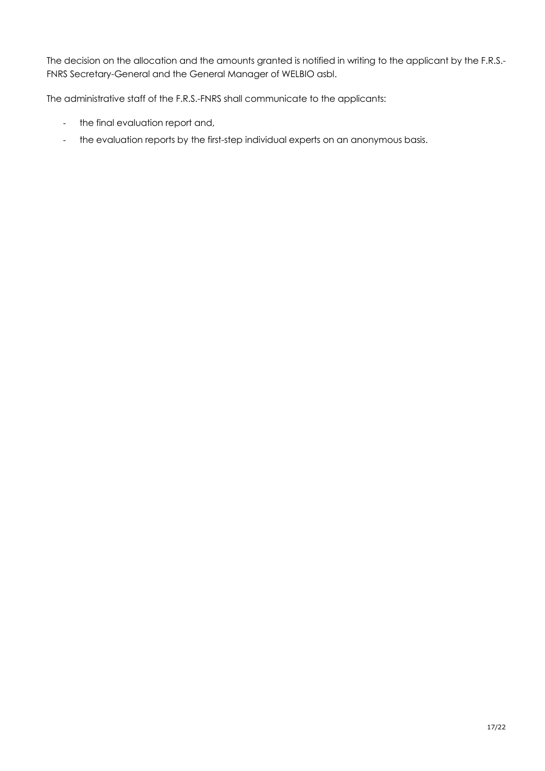The decision on the allocation and the amounts granted is notified in writing to the applicant by the F.R.S.- FNRS Secretary-General and the General Manager of WELBIO asbl.

The administrative staff of the F.R.S.-FNRS shall communicate to the applicants:

- the final evaluation report and,
- the evaluation reports by the first-step individual experts on an anonymous basis.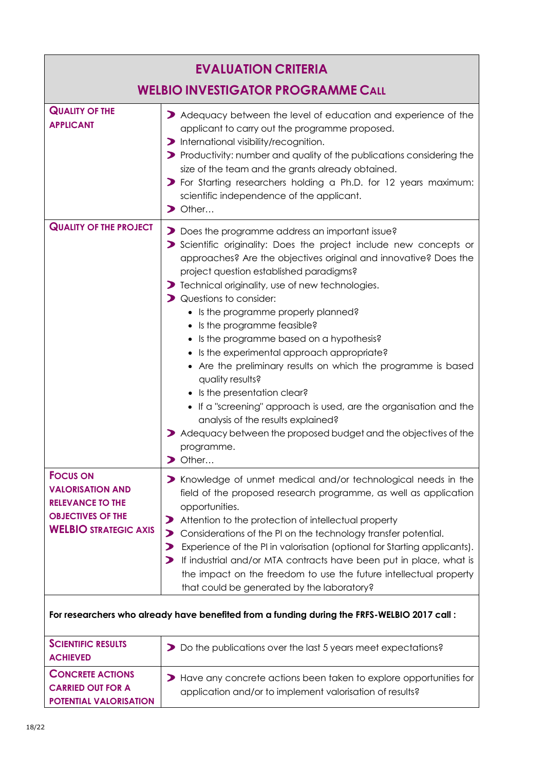| <b>EVALUATION CRITERIA</b>                                                                                                        |                                                                                                                                                                                                                                                                                                                                                                                                                                                                                                                                                                                                                                                                                                                                                                                                                                  |  |
|-----------------------------------------------------------------------------------------------------------------------------------|----------------------------------------------------------------------------------------------------------------------------------------------------------------------------------------------------------------------------------------------------------------------------------------------------------------------------------------------------------------------------------------------------------------------------------------------------------------------------------------------------------------------------------------------------------------------------------------------------------------------------------------------------------------------------------------------------------------------------------------------------------------------------------------------------------------------------------|--|
| <b>WELBIO INVESTIGATOR PROGRAMME CALL</b>                                                                                         |                                                                                                                                                                                                                                                                                                                                                                                                                                                                                                                                                                                                                                                                                                                                                                                                                                  |  |
| <b>QUALITY OF THE</b><br><b>APPLICANT</b>                                                                                         | > Adequacy between the level of education and experience of the<br>applicant to carry out the programme proposed.<br>> International visibility/recognition.<br>> Productivity: number and quality of the publications considering the<br>size of the team and the grants already obtained.<br>> For Starting researchers holding a Ph.D. for 12 years maximum:<br>scientific independence of the applicant.<br>$\triangleright$ Other                                                                                                                                                                                                                                                                                                                                                                                           |  |
| <b>QUALITY OF THE PROJECT</b>                                                                                                     | Does the programme address an important issue?<br>Scientific originality: Does the project include new concepts or<br>approaches? Are the objectives original and innovative? Does the<br>project question established paradigms?<br>> Technical originality, use of new technologies.<br>> Questions to consider:<br>• Is the programme properly planned?<br>• Is the programme feasible?<br>• Is the programme based on a hypothesis?<br>• Is the experimental approach appropriate?<br>• Are the preliminary results on which the programme is based<br>quality results?<br>• Is the presentation clear?<br>• If a "screening" approach is used, are the organisation and the<br>analysis of the results explained?<br>Adequacy between the proposed budget and the objectives of the<br>programme.<br>$\triangleright$ Other |  |
| <b>FOCUS ON</b><br><b>VALORISATION AND</b><br><b>RELEVANCE TO THE</b><br><b>OBJECTIVES OF THE</b><br><b>WELBIO STRATEGIC AXIS</b> | > Knowledge of unmet medical and/or technological needs in the<br>field of the proposed research programme, as well as application<br>opportunities.<br>Attention to the protection of intellectual property<br>⋗<br>Considerations of the PI on the technology transfer potential.<br>⋗<br>Experience of the PI in valorisation (optional for Starting applicants).<br>⋗<br>If industrial and/or MTA contracts have been put in place, what is<br>the impact on the freedom to use the future intellectual property<br>that could be generated by the laboratory?                                                                                                                                                                                                                                                               |  |
| <b>SCIENTIFIC RESULTS</b>                                                                                                         | For researchers who already have benefited from a funding during the FRFS-WELBIO 2017 call:                                                                                                                                                                                                                                                                                                                                                                                                                                                                                                                                                                                                                                                                                                                                      |  |
| <b>ACHIEVED</b>                                                                                                                   | Do the publications over the last 5 years meet expectations?                                                                                                                                                                                                                                                                                                                                                                                                                                                                                                                                                                                                                                                                                                                                                                     |  |
| <b>CONCRETE ACTIONS</b><br><b>CARRIED OUT FOR A</b><br>POTENTIAL VALORISATION                                                     | Have any concrete actions been taken to explore opportunities for<br>application and/or to implement valorisation of results?                                                                                                                                                                                                                                                                                                                                                                                                                                                                                                                                                                                                                                                                                                    |  |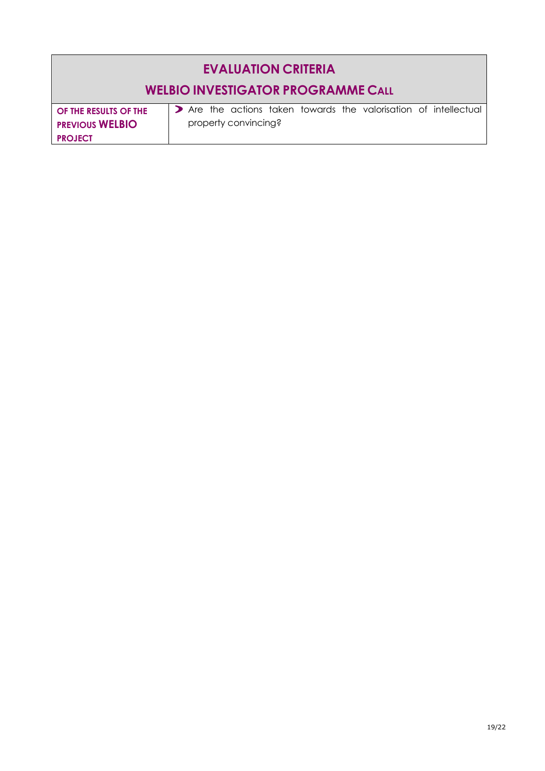# **EVALUATION CRITERIA**

## **WELBIO INVESTIGATOR PROGRAMME CALL**

**OF THE RESULTS OF THE PREVIOUS WELBIO PROJECT**

Are the actions taken towards the valorisation of intellectual property convincing?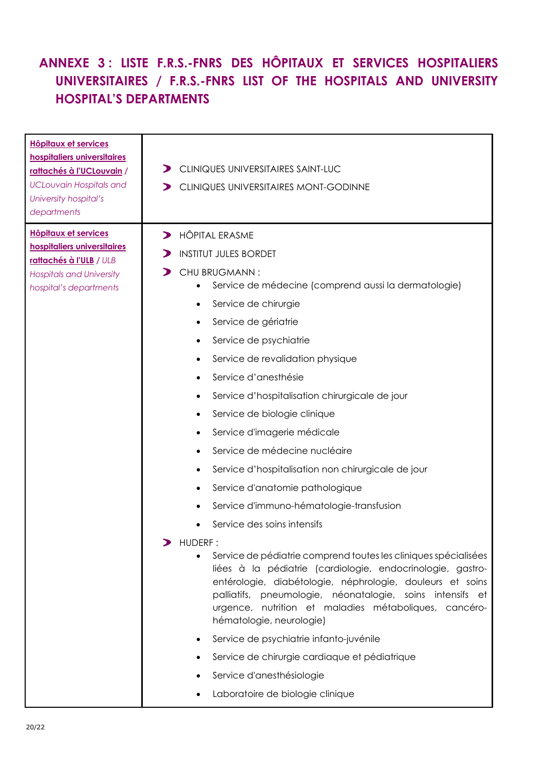# **ANNEXE 3 : LISTE F.R.S.-FNRS DES HÔPITAUX ET SERVICES HOSPITALIERS UNIVERSITAIRES / F.R.S.-FNRS LIST OF THE HOSPITALS AND UNIVERSITY HOSPITAL'S DEPARTMENTS**

| <b>Hôpitaux et services</b><br>hospitaliers universitaires<br>rattachés à l'UCLouvain /<br><b>UCLouvain Hospitals and</b><br>University hospital's<br>departments | CLINIQUES UNIVERSITAIRES SAINT-LUC<br>CLINIQUES UNIVERSITAIRES MONT-GODINNE                                                                                                                                                                                                                                                                                                                                                                                                                                                                                                                                                                                                                                                                                                                                                                                                                                                                                                                                                                                                                                          |
|-------------------------------------------------------------------------------------------------------------------------------------------------------------------|----------------------------------------------------------------------------------------------------------------------------------------------------------------------------------------------------------------------------------------------------------------------------------------------------------------------------------------------------------------------------------------------------------------------------------------------------------------------------------------------------------------------------------------------------------------------------------------------------------------------------------------------------------------------------------------------------------------------------------------------------------------------------------------------------------------------------------------------------------------------------------------------------------------------------------------------------------------------------------------------------------------------------------------------------------------------------------------------------------------------|
| <b>Hôpitaux et services</b><br>hospitaliers universitaires<br>rattachés à l'ULB / ULB<br><b>Hospitals and University</b><br>hospital's departments                | <b>HÔPITAL ERASME</b><br>$\blacktriangleright$<br><b>INSTITUT JULES BORDET</b><br>CHU BRUGMANN:<br>Service de médecine (comprend aussi la dermatologie)<br>Service de chirurgie<br>Service de gériatrie<br>Service de psychiatrie<br>Service de revalidation physique<br>Service d'anesthésie<br>Service d'hospitalisation chirurgicale de jour<br>Service de biologie clinique<br>Service d'imagerie médicale<br>Service de médecine nucléaire<br>Service d'hospitalisation non chirurgicale de jour<br>Service d'anatomie pathologique<br>Service d'immuno-hématologie-transfusion<br>Service des soins intensifs<br>HUDERF:<br>Service de pédiatrie comprend toutes les cliniques spécialisées<br>$\bullet$<br>liées à la pédiatrie (cardiologie, endocrinologie, gastro-<br>entérologie, diabétologie, néphrologie, douleurs et soins<br>palliatifs, pneumologie, néonatalogie, soins intensifs et<br>urgence, nutrition et maladies métaboliques, cancéro-<br>hématologie, neurologie)<br>Service de psychiatrie infanto-juvénile<br>Service de chirurgie cardiaque et pédiatrique<br>Service d'anesthésiologie |
|                                                                                                                                                                   | Laboratoire de biologie clinique                                                                                                                                                                                                                                                                                                                                                                                                                                                                                                                                                                                                                                                                                                                                                                                                                                                                                                                                                                                                                                                                                     |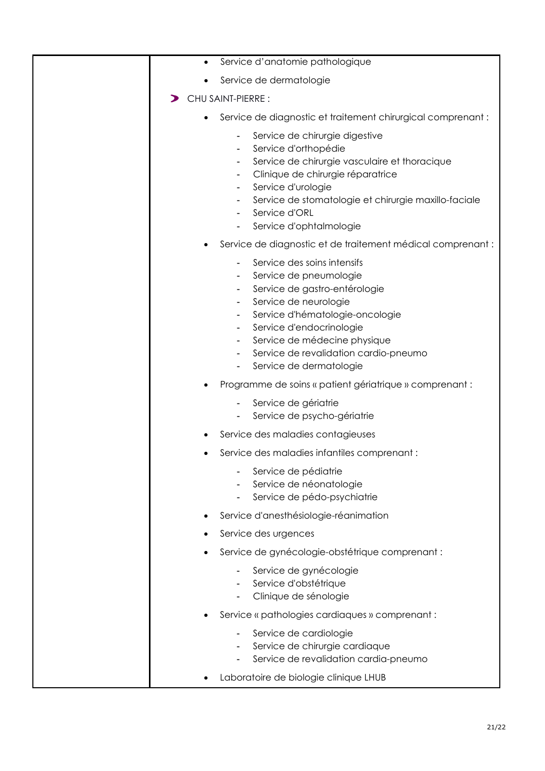| Service d'anatomie pathologique<br>$\bullet$                                                                                                                                                                                                                                                                                      |
|-----------------------------------------------------------------------------------------------------------------------------------------------------------------------------------------------------------------------------------------------------------------------------------------------------------------------------------|
| Service de dermatologie<br>٠                                                                                                                                                                                                                                                                                                      |
| CHU SAINT-PIERRE :<br>⋗                                                                                                                                                                                                                                                                                                           |
| Service de diagnostic et traitement chirurgical comprenant :<br>$\bullet$                                                                                                                                                                                                                                                         |
| Service de chirurgie digestive<br>Service d'orthopédie<br>Service de chirurgie vasculaire et thoracique<br>Clinique de chirurgie réparatrice<br>۰.<br>Service d'urologie<br>Service de stomatologie et chirurgie maxillo-faciale<br>$\blacksquare$<br>Service d'ORL<br>۰.<br>Service d'ophtalmologie                              |
| Service de diagnostic et de traitement médical comprenant :<br>٠                                                                                                                                                                                                                                                                  |
| Service des soins intensifs<br>Service de pneumologie<br>Service de gastro-entérologie<br>٠<br>Service de neurologie<br>Service d'hématologie-oncologie<br>۰.<br>Service d'endocrinologie<br>Service de médecine physique<br>Service de revalidation cardio-pneumo<br>$\blacksquare$<br>Service de dermatologie<br>$\blacksquare$ |
| Programme de soins « patient gériatrique » comprenant :                                                                                                                                                                                                                                                                           |
| Service de gériatrie<br>Service de psycho-gériatrie                                                                                                                                                                                                                                                                               |
| Service des maladies contagieuses                                                                                                                                                                                                                                                                                                 |
| Service des maladies infantiles comprenant :                                                                                                                                                                                                                                                                                      |
| Service de pédiatrie<br>Service de néonatologie<br>Service de pédo-psychiatrie                                                                                                                                                                                                                                                    |
| Service d'anesthésiologie-réanimation                                                                                                                                                                                                                                                                                             |
| Service des urgences                                                                                                                                                                                                                                                                                                              |
| Service de gynécologie-obstétrique comprenant :                                                                                                                                                                                                                                                                                   |
| Service de gynécologie<br>Service d'obstétrique<br>Clinique de sénologie                                                                                                                                                                                                                                                          |
| Service « pathologies cardiaques » comprenant :                                                                                                                                                                                                                                                                                   |
| Service de cardiologie<br>Service de chirurgie cardiaque<br>Service de revalidation cardia-pneumo                                                                                                                                                                                                                                 |
| Laboratoire de biologie clinique LHUB                                                                                                                                                                                                                                                                                             |